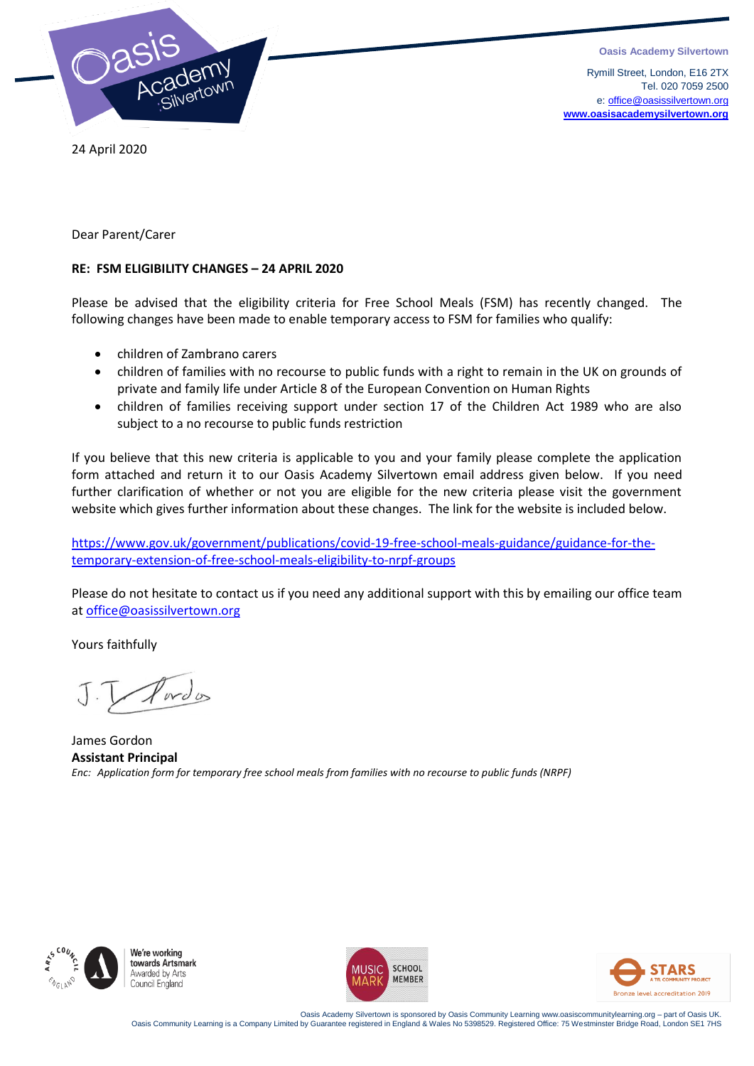



 Rymill Street, London, E16 2TX Tel. 020 7059 2500 e[: office@oasissilvertown.org](mailto:office@oasissilvertown.org) **[www.oasisacademysilvertown.org](http://www.oasisacademysilvertown.org/)**

24 April 2020

Dear Parent/Carer

#### **RE: FSM ELIGIBILITY CHANGES – 24 APRIL 2020**

Please be advised that the eligibility criteria for Free School Meals (FSM) has recently changed. The following changes have been made to enable temporary access to FSM for families who qualify:

- children of Zambrano carers
- children of families with no recourse to public funds with a right to remain in the UK on grounds of private and family life under Article 8 of the European Convention on Human Rights
- children of families receiving support under section 17 of the Children Act 1989 who are also subject to a no recourse to public funds restriction

If you believe that this new criteria is applicable to you and your family please complete the application form attached and return it to our Oasis Academy Silvertown email address given below. If you need further clarification of whether or not you are eligible for the new criteria please visit the government website which gives further information about these changes. The link for the website is included below.

[https://www.gov.uk/government/publications/covid-19-free-school-meals-guidance/guidance-for-the](https://www.gov.uk/government/publications/covid-19-free-school-meals-guidance/guidance-for-the-temporary-extension-of-free-school-meals-eligibility-to-nrpf-groups)[temporary-extension-of-free-school-meals-eligibility-to-nrpf-groups](https://www.gov.uk/government/publications/covid-19-free-school-meals-guidance/guidance-for-the-temporary-extension-of-free-school-meals-eligibility-to-nrpf-groups)

Please do not hesitate to contact us if you need any additional support with this by emailing our office team at [office@oasissilvertown.org](mailto:office@oasissilvertown.org)

Yours faithfully

 $wd_0$ 

James Gordon **Assistant Principal** *Enc: Application form for temporary free school meals from families with no recourse to public funds (NRPF)*



We're working towards Artsmark Awarded by Arts Council England





.Oasis Academy Silvertown is sponsored by Oasis Community Learning www.oasiscommunitylearning.org – part of Oasis UK<br>Oasis Community Learning is a Company Limited by Guarantee registered in England & Wales No 5398529. Regi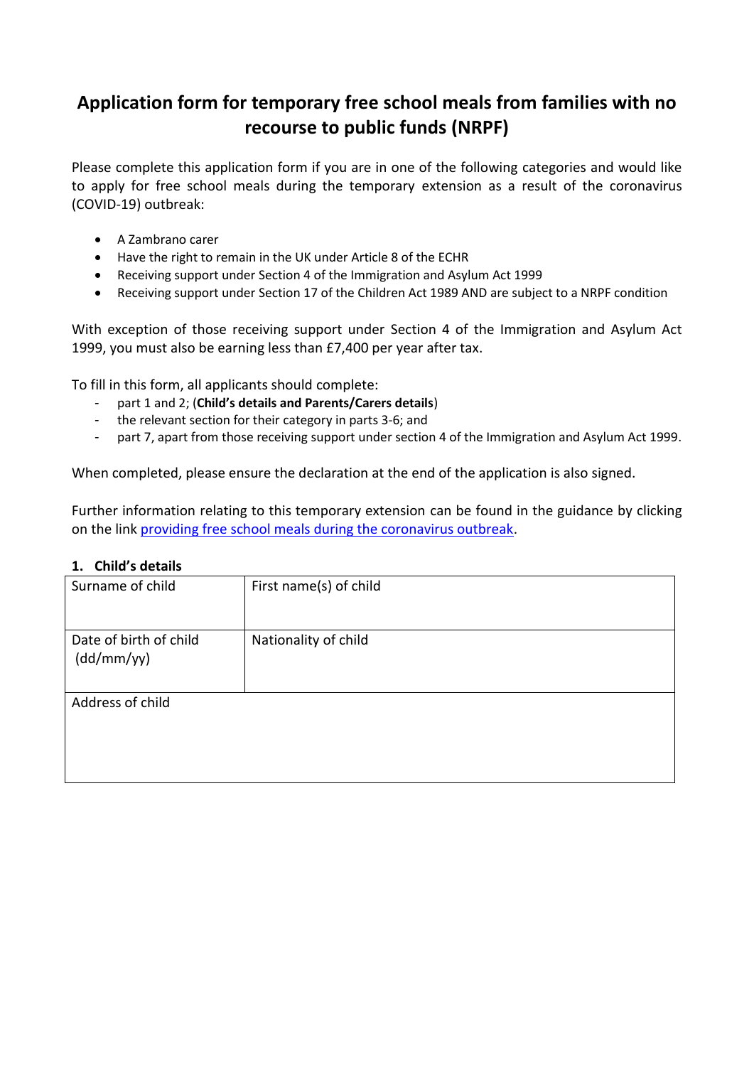# **Application form for temporary free school meals from families with no recourse to public funds (NRPF)**

Please complete this application form if you are in one of the following categories and would like to apply for free school meals during the temporary extension as a result of the coronavirus (COVID-19) outbreak:

- A Zambrano carer
- Have the right to remain in the UK under Article 8 of the ECHR
- Receiving support under Section 4 of the Immigration and Asylum Act 1999
- Receiving support under Section 17 of the Children Act 1989 AND are subject to a NRPF condition

With exception of those receiving support under Section 4 of the Immigration and Asylum Act 1999, you must also be earning less than £7,400 per year after tax.

To fill in this form, all applicants should complete:

- part 1 and 2; (**Child's details and Parents/Carers details**)
- the relevant section for their category in parts 3-6; and
- part 7, apart from those receiving support under section 4 of the Immigration and Asylum Act 1999.

When completed, please ensure the declaration at the end of the application is also signed.

Further information relating to this temporary extension can be found in the guidance by clicking on the link [providing free school meals during the coronavirus outbreak.](https://www.gov.uk/government/publications/covid-19-free-school-meals-guidance)

#### **1. Child's details**

| Surname of child                     | First name(s) of child |
|--------------------------------------|------------------------|
| Date of birth of child<br>(dd/mm/yy) | Nationality of child   |
| Address of child                     |                        |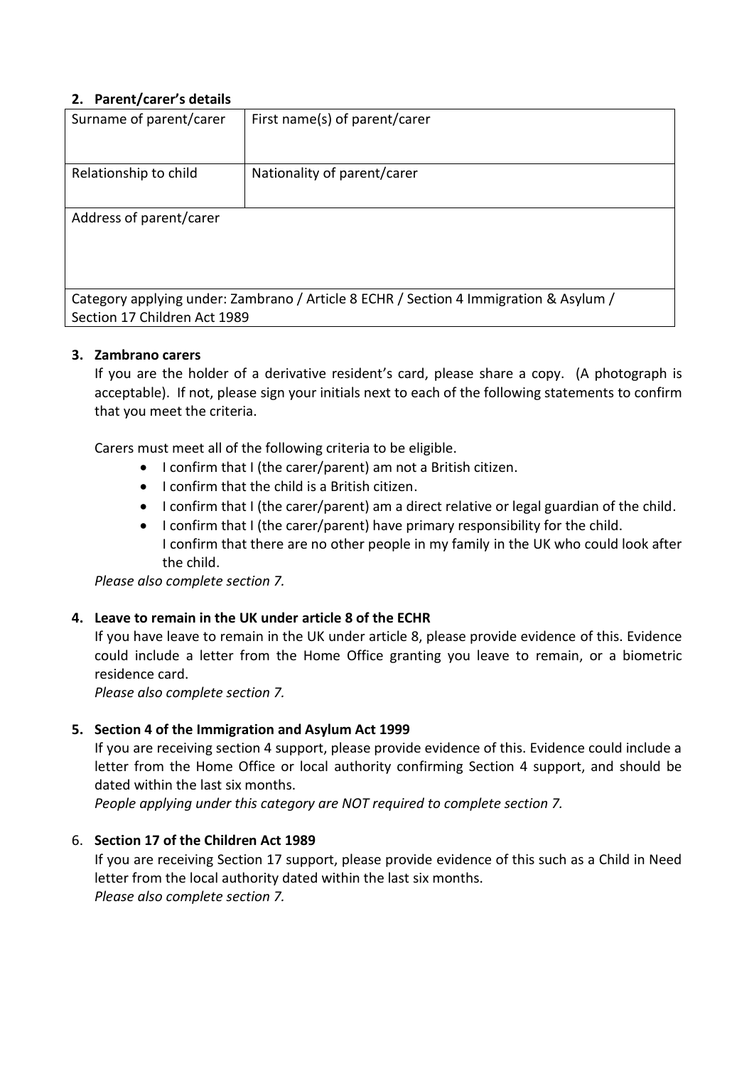#### **2. Parent/carer's details**

| Surname of parent/carer                                                                                               | First name(s) of parent/carer |  |
|-----------------------------------------------------------------------------------------------------------------------|-------------------------------|--|
| Relationship to child                                                                                                 | Nationality of parent/carer   |  |
| Address of parent/carer                                                                                               |                               |  |
| Category applying under: Zambrano / Article 8 ECHR / Section 4 Immigration & Asylum /<br>Section 17 Children Act 1989 |                               |  |

### **3. Zambrano carers**

If you are the holder of a derivative resident's card, please share a copy. (A photograph is acceptable). If not, please sign your initials next to each of the following statements to confirm that you meet the criteria.

Carers must meet all of the following criteria to be eligible.

- I confirm that I (the carer/parent) am not a British citizen.
- I confirm that the child is a British citizen.
- I confirm that I (the carer/parent) am a direct relative or legal guardian of the child.
- I confirm that I (the carer/parent) have primary responsibility for the child. I confirm that there are no other people in my family in the UK who could look after the child.

*Please also complete section 7.*

#### **4. Leave to remain in the UK under article 8 of the ECHR**

If you have leave to remain in the UK under article 8, please provide evidence of this. Evidence could include a letter from the Home Office granting you leave to remain, or a biometric residence card.

*Please also complete section 7.*

#### **5. Section 4 of the Immigration and Asylum Act 1999**

If you are receiving section 4 support, please provide evidence of this. Evidence could include a letter from the Home Office or local authority confirming Section 4 support, and should be dated within the last six months.

*People applying under this category are NOT required to complete section 7.*

#### 6. **Section 17 of the Children Act 1989**

If you are receiving Section 17 support, please provide evidence of this such as a Child in Need letter from the local authority dated within the last six months. *Please also complete section 7.*